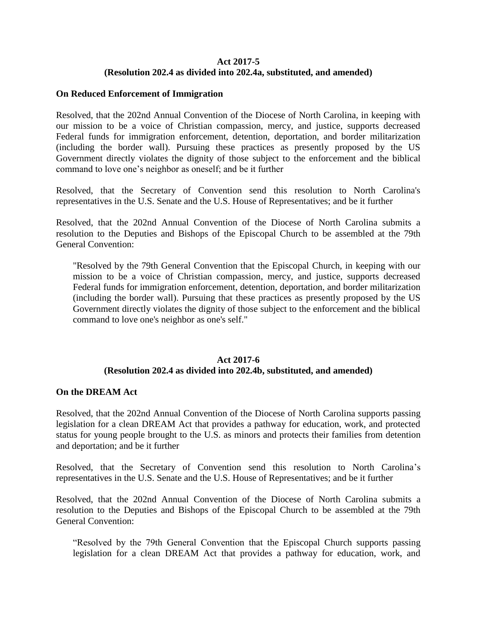## **Act 2017-5 (Resolution 202.4 as divided into 202.4a, substituted, and amended)**

### **On Reduced Enforcement of Immigration**

Resolved, that the 202nd Annual Convention of the Diocese of North Carolina, in keeping with our mission to be a voice of Christian compassion, mercy, and justice, supports decreased Federal funds for immigration enforcement, detention, deportation, and border militarization (including the border wall). Pursuing these practices as presently proposed by the US Government directly violates the dignity of those subject to the enforcement and the biblical command to love one's neighbor as oneself; and be it further

Resolved, that the Secretary of Convention send this resolution to North Carolina's representatives in the U.S. Senate and the U.S. House of Representatives; and be it further

Resolved, that the 202nd Annual Convention of the Diocese of North Carolina submits a resolution to the Deputies and Bishops of the Episcopal Church to be assembled at the 79th General Convention:

"Resolved by the 79th General Convention that the Episcopal Church, in keeping with our mission to be a voice of Christian compassion, mercy, and justice, supports decreased Federal funds for immigration enforcement, detention, deportation, and border militarization (including the border wall). Pursuing that these practices as presently proposed by the US Government directly violates the dignity of those subject to the enforcement and the biblical command to love one's neighbor as one's self."

# **Act 2017-6 (Resolution 202.4 as divided into 202.4b, substituted, and amended)**

### **On the DREAM Act**

Resolved, that the 202nd Annual Convention of the Diocese of North Carolina supports passing legislation for a clean DREAM Act that provides a pathway for education, work, and protected status for young people brought to the U.S. as minors and protects their families from detention and deportation; and be it further

Resolved, that the Secretary of Convention send this resolution to North Carolina's representatives in the U.S. Senate and the U.S. House of Representatives; and be it further

Resolved, that the 202nd Annual Convention of the Diocese of North Carolina submits a resolution to the Deputies and Bishops of the Episcopal Church to be assembled at the 79th General Convention:

"Resolved by the 79th General Convention that the Episcopal Church supports passing legislation for a clean DREAM Act that provides a pathway for education, work, and